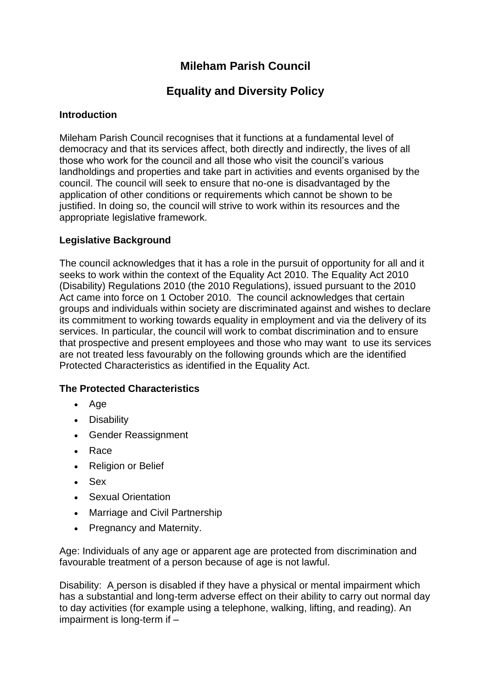# **Mileham Parish Council**

# **Equality and Diversity Policy**

# **Introduction**

Mileham Parish Council recognises that it functions at a fundamental level of democracy and that its services affect, both directly and indirectly, the lives of all those who work for the council and all those who visit the council's various landholdings and properties and take part in activities and events organised by the council. The council will seek to ensure that no-one is disadvantaged by the application of other conditions or requirements which cannot be shown to be justified. In doing so, the council will strive to work within its resources and the appropriate legislative framework.

# **Legislative Background**

The council acknowledges that it has a role in the pursuit of opportunity for all and it seeks to work within the context of the Equality Act 2010. The Equality Act 2010 (Disability) Regulations 2010 (the 2010 Regulations), issued pursuant to the 2010 Act came into force on 1 October 2010. The council acknowledges that certain groups and individuals within society are discriminated against and wishes to declare its commitment to working towards equality in employment and via the delivery of its services. In particular, the council will work to combat discrimination and to ensure that prospective and present employees and those who may want to use its services are not treated less favourably on the following grounds which are the identified Protected Characteristics as identified in the Equality Act.

# **The Protected Characteristics**

- Age
- Disability
- Gender Reassignment
- Race
- Religion or Belief
- Sex
- Sexual Orientation
- Marriage and Civil Partnership
- Pregnancy and Maternity.

Age: Individuals of any age or apparent age are protected from discrimination and favourable treatment of a person because of age is not lawful.

Disability: A person is disabled if they have a physical or mental impairment which has a substantial and long-term adverse effect on their ability to carry out normal day to day activities (for example using a telephone, walking, lifting, and reading). An impairment is long-term if –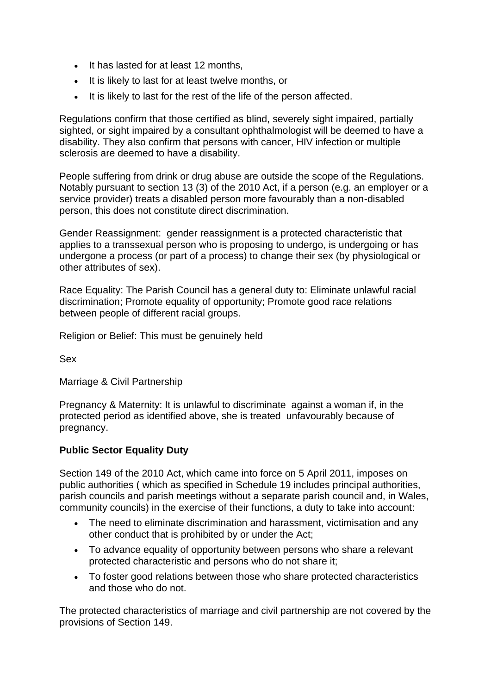- It has lasted for at least 12 months,
- It is likely to last for at least twelve months, or
- It is likely to last for the rest of the life of the person affected.

Regulations confirm that those certified as blind, severely sight impaired, partially sighted, or sight impaired by a consultant ophthalmologist will be deemed to have a disability. They also confirm that persons with cancer, HIV infection or multiple sclerosis are deemed to have a disability.

People suffering from drink or drug abuse are outside the scope of the Regulations. Notably pursuant to section 13 (3) of the 2010 Act, if a person (e.g. an employer or a service provider) treats a disabled person more favourably than a non-disabled person, this does not constitute direct discrimination.

Gender Reassignment: gender reassignment is a protected characteristic that applies to a transsexual person who is proposing to undergo, is undergoing or has undergone a process (or part of a process) to change their sex (by physiological or other attributes of sex).

Race Equality: The Parish Council has a general duty to: Eliminate unlawful racial discrimination; Promote equality of opportunity; Promote good race relations between people of different racial groups.

Religion or Belief: This must be genuinely held

Sex

Marriage & Civil Partnership

Pregnancy & Maternity: It is unlawful to discriminate against a woman if, in the protected period as identified above, she is treated unfavourably because of pregnancy.

### **Public Sector Equality Duty**

Section 149 of the 2010 Act, which came into force on 5 April 2011, imposes on public authorities ( which as specified in Schedule 19 includes principal authorities, parish councils and parish meetings without a separate parish council and, in Wales, community councils) in the exercise of their functions, a duty to take into account:

- The need to eliminate discrimination and harassment, victimisation and any other conduct that is prohibited by or under the Act;
- To advance equality of opportunity between persons who share a relevant protected characteristic and persons who do not share it;
- To foster good relations between those who share protected characteristics and those who do not.

The protected characteristics of marriage and civil partnership are not covered by the provisions of Section 149.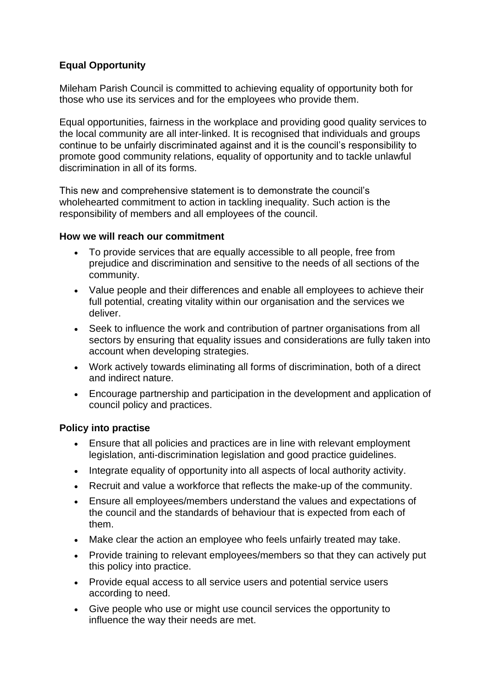# **Equal Opportunity**

Mileham Parish Council is committed to achieving equality of opportunity both for those who use its services and for the employees who provide them.

Equal opportunities, fairness in the workplace and providing good quality services to the local community are all inter-linked. It is recognised that individuals and groups continue to be unfairly discriminated against and it is the council's responsibility to promote good community relations, equality of opportunity and to tackle unlawful discrimination in all of its forms.

This new and comprehensive statement is to demonstrate the council's wholehearted commitment to action in tackling inequality. Such action is the responsibility of members and all employees of the council.

### **How we will reach our commitment**

- To provide services that are equally accessible to all people, free from prejudice and discrimination and sensitive to the needs of all sections of the community.
- Value people and their differences and enable all employees to achieve their full potential, creating vitality within our organisation and the services we deliver.
- Seek to influence the work and contribution of partner organisations from all sectors by ensuring that equality issues and considerations are fully taken into account when developing strategies.
- Work actively towards eliminating all forms of discrimination, both of a direct and indirect nature.
- Encourage partnership and participation in the development and application of council policy and practices.

# **Policy into practise**

- Ensure that all policies and practices are in line with relevant employment legislation, anti-discrimination legislation and good practice guidelines.
- Integrate equality of opportunity into all aspects of local authority activity.
- Recruit and value a workforce that reflects the make-up of the community.
- Ensure all employees/members understand the values and expectations of the council and the standards of behaviour that is expected from each of them.
- Make clear the action an employee who feels unfairly treated may take.
- Provide training to relevant employees/members so that they can actively put this policy into practice.
- Provide equal access to all service users and potential service users according to need.
- Give people who use or might use council services the opportunity to influence the way their needs are met.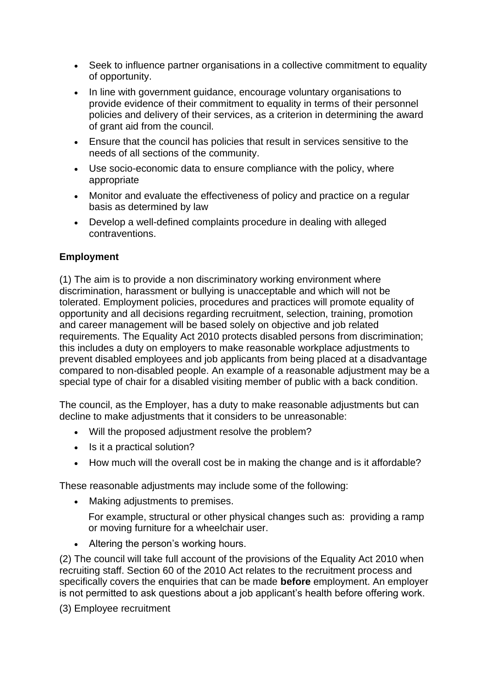- Seek to influence partner organisations in a collective commitment to equality of opportunity.
- In line with government guidance, encourage voluntary organisations to provide evidence of their commitment to equality in terms of their personnel policies and delivery of their services, as a criterion in determining the award of grant aid from the council.
- Ensure that the council has policies that result in services sensitive to the needs of all sections of the community.
- Use socio-economic data to ensure compliance with the policy, where appropriate
- Monitor and evaluate the effectiveness of policy and practice on a regular basis as determined by law
- Develop a well-defined complaints procedure in dealing with alleged contraventions.

# **Employment**

(1) The aim is to provide a non discriminatory working environment where discrimination, harassment or bullying is unacceptable and which will not be tolerated. Employment policies, procedures and practices will promote equality of opportunity and all decisions regarding recruitment, selection, training, promotion and career management will be based solely on objective and job related requirements. The Equality Act 2010 protects disabled persons from discrimination; this includes a duty on employers to make reasonable workplace adjustments to prevent disabled employees and job applicants from being placed at a disadvantage compared to non-disabled people. An example of a reasonable adjustment may be a special type of chair for a disabled visiting member of public with a back condition.

The council, as the Employer, has a duty to make reasonable adjustments but can decline to make adjustments that it considers to be unreasonable:

- Will the proposed adjustment resolve the problem?
- Is it a practical solution?
- How much will the overall cost be in making the change and is it affordable?

These reasonable adjustments may include some of the following:

• Making adjustments to premises.

For example, structural or other physical changes such as: providing a ramp or moving furniture for a wheelchair user.

• Altering the person's working hours.

(2) The council will take full account of the provisions of the Equality Act 2010 when recruiting staff. Section 60 of the 2010 Act relates to the recruitment process and specifically covers the enquiries that can be made **before** employment. An employer is not permitted to ask questions about a job applicant's health before offering work.

(3) Employee recruitment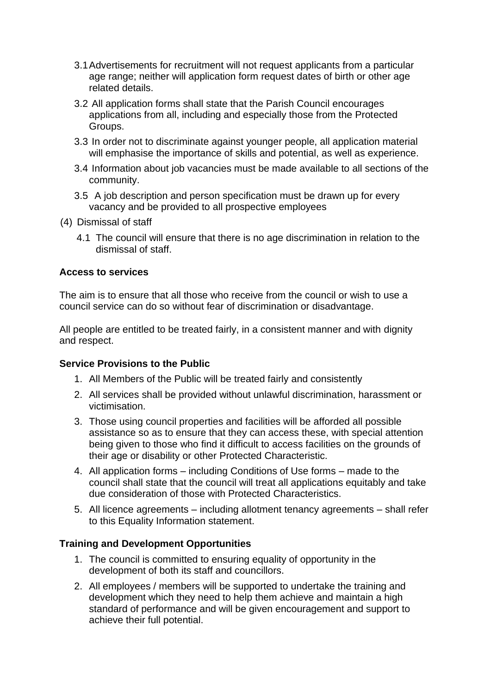- 3.1Advertisements for recruitment will not request applicants from a particular age range; neither will application form request dates of birth or other age related details.
- 3.2 All application forms shall state that the Parish Council encourages applications from all, including and especially those from the Protected Groups.
- 3.3 In order not to discriminate against younger people, all application material will emphasise the importance of skills and potential, as well as experience.
- 3.4 Information about job vacancies must be made available to all sections of the community.
- 3.5 A job description and person specification must be drawn up for every vacancy and be provided to all prospective employees
- (4) Dismissal of staff
	- 4.1 The council will ensure that there is no age discrimination in relation to the dismissal of staff.

#### **Access to services**

The aim is to ensure that all those who receive from the council or wish to use a council service can do so without fear of discrimination or disadvantage.

All people are entitled to be treated fairly, in a consistent manner and with dignity and respect.

#### **Service Provisions to the Public**

- 1. All Members of the Public will be treated fairly and consistently
- 2. All services shall be provided without unlawful discrimination, harassment or victimisation.
- 3. Those using council properties and facilities will be afforded all possible assistance so as to ensure that they can access these, with special attention being given to those who find it difficult to access facilities on the grounds of their age or disability or other Protected Characteristic.
- 4. All application forms including Conditions of Use forms made to the council shall state that the council will treat all applications equitably and take due consideration of those with Protected Characteristics.
- 5. All licence agreements including allotment tenancy agreements shall refer to this Equality Information statement.

### **Training and Development Opportunities**

- 1. The council is committed to ensuring equality of opportunity in the development of both its staff and councillors.
- 2. All employees / members will be supported to undertake the training and development which they need to help them achieve and maintain a high standard of performance and will be given encouragement and support to achieve their full potential.